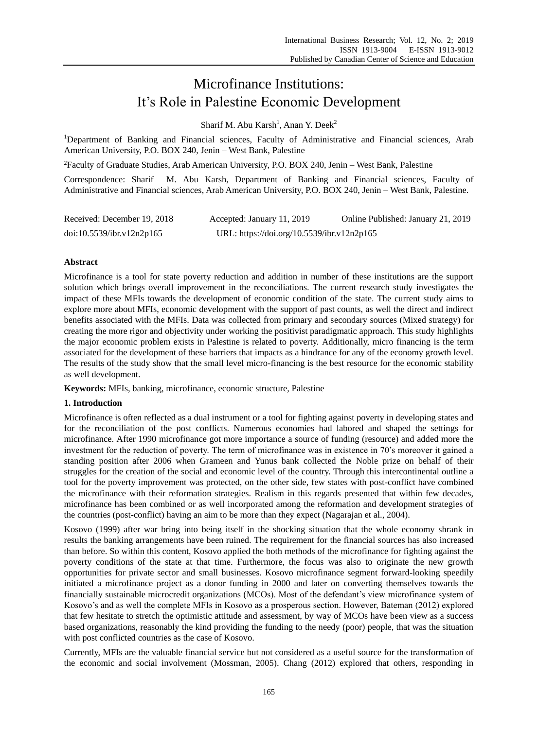# Microfinance Institutions: It"s Role in Palestine Economic Development

Sharif M. Abu  $Karsh<sup>1</sup>$ , Anan Y. Deek<sup>2</sup>

<sup>1</sup>Department of Banking and Financial sciences, Faculty of Administrative and Financial sciences, Arab American University, P.O. BOX 240, Jenin – West Bank, Palestine

<sup>2</sup>Faculty of Graduate Studies, Arab American University, P.O. BOX 240, Jenin – West Bank, Palestine

Correspondence: Sharif M. Abu Karsh, Department of Banking and Financial sciences, Faculty of Administrative and Financial sciences, Arab American University, P.O. BOX 240, Jenin – West Bank, Palestine.

| Received: December 19, 2018 | Accepted: January 11, 2019                 | Online Published: January 21, 2019 |
|-----------------------------|--------------------------------------------|------------------------------------|
| doi:10.5539/ibr.v12n2p165   | URL: https://doi.org/10.5539/ibr.v12n2p165 |                                    |

# **Abstract**

Microfinance is a tool for state poverty reduction and addition in number of these institutions are the support solution which brings overall improvement in the reconciliations. The current research study investigates the impact of these MFIs towards the development of economic condition of the state. The current study aims to explore more about MFIs, economic development with the support of past counts, as well the direct and indirect benefits associated with the MFIs. Data was collected from primary and secondary sources (Mixed strategy) for creating the more rigor and objectivity under working the positivist paradigmatic approach. This study highlights the major economic problem exists in Palestine is related to poverty. Additionally, micro financing is the term associated for the development of these barriers that impacts as a hindrance for any of the economy growth level. The results of the study show that the small level micro-financing is the best resource for the economic stability as well development.

**Keywords:** MFIs, banking, microfinance, economic structure, Palestine

# **1. Introduction**

Microfinance is often reflected as a dual instrument or a tool for fighting against poverty in developing states and for the reconciliation of the post conflicts. Numerous economies had labored and shaped the settings for microfinance. After 1990 microfinance got more importance a source of funding (resource) and added more the investment for the reduction of poverty. The term of microfinance was in existence in 70"s moreover it gained a standing position after 2006 when Grameen and Yunus bank collected the Noble prize on behalf of their struggles for the creation of the social and economic level of the country. Through this intercontinental outline a tool for the poverty improvement was protected, on the other side, few states with post-conflict have combined the microfinance with their reformation strategies. Realism in this regards presented that within few decades, microfinance has been combined or as well incorporated among the reformation and development strategies of the countries (post-conflict) having an aim to be more than they expect (Nagarajan et al., 2004).

Kosovo (1999) after war bring into being itself in the shocking situation that the whole economy shrank in results the banking arrangements have been ruined. The requirement for the financial sources has also increased than before. So within this content, Kosovo applied the both methods of the microfinance for fighting against the poverty conditions of the state at that time. Furthermore, the focus was also to originate the new growth opportunities for private sector and small businesses. Kosovo microfinance segment forward-looking speedily initiated a microfinance project as a donor funding in 2000 and later on converting themselves towards the financially sustainable microcredit organizations (MCOs). Most of the defendant's view microfinance system of Kosovo"s and as well the complete MFIs in Kosovo as a prosperous section. However, Bateman (2012) explored that few hesitate to stretch the optimistic attitude and assessment, by way of MCOs have been view as a success based organizations, reasonably the kind providing the funding to the needy (poor) people, that was the situation with post conflicted countries as the case of Kosovo.

Currently, MFIs are the valuable financial service but not considered as a useful source for the transformation of the economic and social involvement (Mossman, 2005). Chang (2012) explored that others, responding in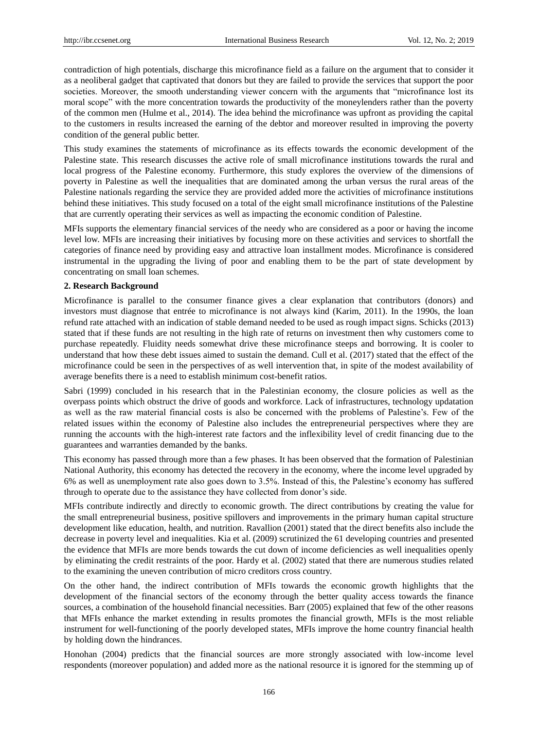contradiction of high potentials, discharge this microfinance field as a failure on the argument that to consider it as a neoliberal gadget that captivated that donors but they are failed to provide the services that support the poor societies. Moreover, the smooth understanding viewer concern with the arguments that "microfinance lost its moral scope" with the more concentration towards the productivity of the moneylenders rather than the poverty of the common men (Hulme et al., 2014). The idea behind the microfinance was upfront as providing the capital to the customers in results increased the earning of the debtor and moreover resulted in improving the poverty condition of the general public better.

This study examines the statements of microfinance as its effects towards the economic development of the Palestine state. This research discusses the active role of small microfinance institutions towards the rural and local progress of the Palestine economy. Furthermore, this study explores the overview of the dimensions of poverty in Palestine as well the inequalities that are dominated among the urban versus the rural areas of the Palestine nationals regarding the service they are provided added more the activities of microfinance institutions behind these initiatives. This study focused on a total of the eight small microfinance institutions of the Palestine that are currently operating their services as well as impacting the economic condition of Palestine.

MFIs supports the elementary financial services of the needy who are considered as a poor or having the income level low. MFIs are increasing their initiatives by focusing more on these activities and services to shortfall the categories of finance need by providing easy and attractive loan installment modes. Microfinance is considered instrumental in the upgrading the living of poor and enabling them to be the part of state development by concentrating on small loan schemes.

## **2. Research Background**

Microfinance is parallel to the consumer finance gives a clear explanation that contributors (donors) and investors must diagnose that entrée to microfinance is not always kind (Karim, 2011). In the 1990s, the loan refund rate attached with an indication of stable demand needed to be used as rough impact signs. Schicks (2013) stated that if these funds are not resulting in the high rate of returns on investment then why customers come to purchase repeatedly. Fluidity needs somewhat drive these microfinance steeps and borrowing. It is cooler to understand that how these debt issues aimed to sustain the demand. Cull et al. (2017) stated that the effect of the microfinance could be seen in the perspectives of as well intervention that, in spite of the modest availability of average benefits there is a need to establish minimum cost-benefit ratios.

Sabri (1999) concluded in his research that in the Palestinian economy, the closure policies as well as the overpass points which obstruct the drive of goods and workforce. Lack of infrastructures, technology updatation as well as the raw material financial costs is also be concerned with the problems of Palestine"s. Few of the related issues within the economy of Palestine also includes the entrepreneurial perspectives where they are running the accounts with the high-interest rate factors and the inflexibility level of credit financing due to the guarantees and warranties demanded by the banks.

This economy has passed through more than a few phases. It has been observed that the formation of Palestinian National Authority, this economy has detected the recovery in the economy, where the income level upgraded by 6% as well as unemployment rate also goes down to 3.5%. Instead of this, the Palestine"s economy has suffered through to operate due to the assistance they have collected from donor"s side.

MFIs contribute indirectly and directly to economic growth. The direct contributions by creating the value for the small entrepreneurial business, positive spillovers and improvements in the primary human capital structure development like education, health, and nutrition. Ravallion (2001) stated that the direct benefits also include the decrease in poverty level and inequalities. Kia et al. (2009) scrutinized the 61 developing countries and presented the evidence that MFIs are more bends towards the cut down of income deficiencies as well inequalities openly by eliminating the credit restraints of the poor. Hardy et al. (2002) stated that there are numerous studies related to the examining the uneven contribution of micro creditors cross country.

On the other hand, the indirect contribution of MFIs towards the economic growth highlights that the development of the financial sectors of the economy through the better quality access towards the finance sources, a combination of the household financial necessities. Barr (2005) explained that few of the other reasons that MFIs enhance the market extending in results promotes the financial growth, MFIs is the most reliable instrument for well-functioning of the poorly developed states, MFIs improve the home country financial health by holding down the hindrances.

Honohan (2004) predicts that the financial sources are more strongly associated with low-income level respondents (moreover population) and added more as the national resource it is ignored for the stemming up of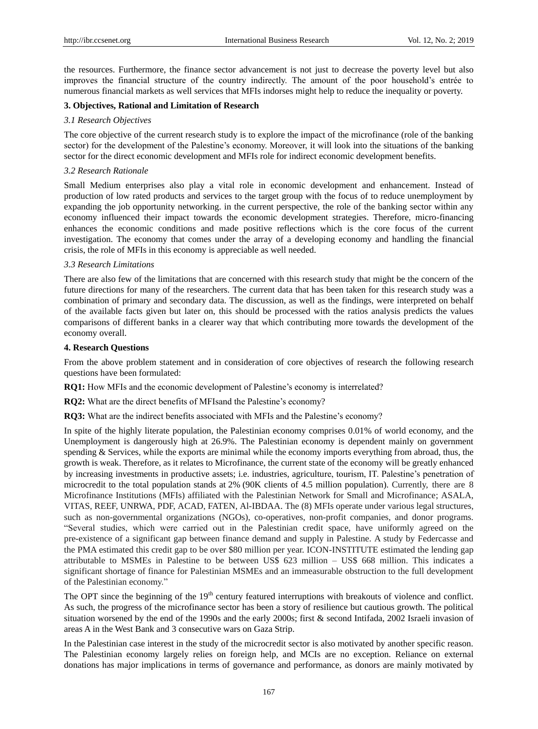the resources. Furthermore, the finance sector advancement is not just to decrease the poverty level but also improves the financial structure of the country indirectly. The amount of the poor household"s entrée to numerous financial markets as well services that MFIs indorses might help to reduce the inequality or poverty.

# **3. Objectives, Rational and Limitation of Research**

## *3.1 Research Objectives*

The core objective of the current research study is to explore the impact of the microfinance (role of the banking sector) for the development of the Palestine's economy. Moreover, it will look into the situations of the banking sector for the direct economic development and MFIs role for indirect economic development benefits.

## *3.2 Research Rationale*

Small Medium enterprises also play a vital role in economic development and enhancement. Instead of production of low rated products and services to the target group with the focus of to reduce unemployment by expanding the job opportunity networking. in the current perspective, the role of the banking sector within any economy influenced their impact towards the economic development strategies. Therefore, micro-financing enhances the economic conditions and made positive reflections which is the core focus of the current investigation. The economy that comes under the array of a developing economy and handling the financial crisis, the role of MFIs in this economy is appreciable as well needed.

# *3.3 Research Limitations*

There are also few of the limitations that are concerned with this research study that might be the concern of the future directions for many of the researchers. The current data that has been taken for this research study was a combination of primary and secondary data. The discussion, as well as the findings, were interpreted on behalf of the available facts given but later on, this should be processed with the ratios analysis predicts the values comparisons of different banks in a clearer way that which contributing more towards the development of the economy overall.

#### **4. Research Questions**

From the above problem statement and in consideration of core objectives of research the following research questions have been formulated:

**RQ1:** How MFIs and the economic development of Palestine's economy is interrelated?

**RQ2:** What are the direct benefits of MFIsand the Palestine's economy?

**RO3:** What are the indirect benefits associated with MFIs and the Palestine's economy?

In spite of the highly literate population, the Palestinian economy comprises 0.01% of world economy, and the Unemployment is dangerously high at 26.9%. The Palestinian economy is dependent mainly on government spending & Services, while the exports are minimal while the economy imports everything from abroad, thus, the growth is weak. Therefore, as it relates to Microfinance, the current state of the economy will be greatly enhanced by increasing investments in productive assets; i.e. industries, agriculture, tourism, IT. Palestine"s penetration of microcredit to the total population stands at 2% (90K clients of 4.5 million population). Currently, there are 8 Microfinance Institutions (MFIs) affiliated with the Palestinian Network for Small and Microfinance; ASALA, VITAS, REEF, UNRWA, PDF, ACAD, FATEN, Al-IBDAA. The (8) MFIs operate under various legal structures, such as non-governmental organizations (NGOs), co-operatives, non-profit companies, and donor programs. "Several studies, which were carried out in the Palestinian credit space, have uniformly agreed on the pre-existence of a significant gap between finance demand and supply in Palestine. A study by Federcasse and the PMA estimated this credit gap to be over \$80 million per year. ICON-INSTITUTE estimated the lending gap attributable to MSMEs in Palestine to be between US\$ 623 million – US\$ 668 million. This indicates a significant shortage of finance for Palestinian MSMEs and an immeasurable obstruction to the full development of the Palestinian economy."

The OPT since the beginning of the 19<sup>th</sup> century featured interruptions with breakouts of violence and conflict. As such, the progress of the microfinance sector has been a story of resilience but cautious growth. The political situation worsened by the end of the 1990s and the early 2000s; first & second Intifada, 2002 Israeli invasion of areas A in the West Bank and 3 consecutive wars on Gaza Strip.

In the Palestinian case interest in the study of the microcredit sector is also motivated by another specific reason. The Palestinian economy largely relies on foreign help, and MCIs are no exception. Reliance on external donations has major implications in terms of governance and performance, as donors are mainly motivated by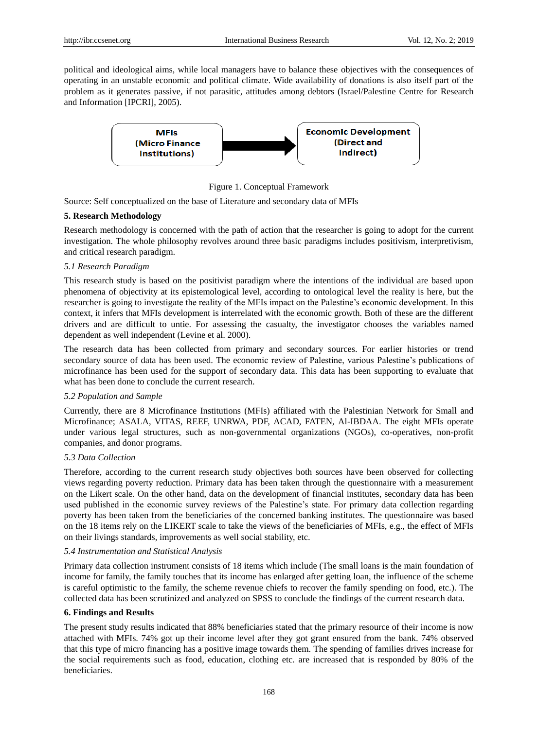political and ideological aims, while local managers have to balance these objectives with the consequences of operating in an unstable economic and political climate. Wide availability of donations is also itself part of the problem as it generates passive, if not parasitic, attitudes among debtors (Israel/Palestine Centre for Research and Information [IPCRI], 2005).



Figure 1. Conceptual Framework

Source: Self conceptualized on the base of Literature and secondary data of MFIs

#### **5. Research Methodology**

Research methodology is concerned with the path of action that the researcher is going to adopt for the current investigation. The whole philosophy revolves around three basic paradigms includes positivism, interpretivism, and critical research paradigm.

#### *5.1 Research Paradigm*

This research study is based on the positivist paradigm where the intentions of the individual are based upon phenomena of objectivity at its epistemological level, according to ontological level the reality is here, but the researcher is going to investigate the reality of the MFIs impact on the Palestine"s economic development. In this context, it infers that MFIs development is interrelated with the economic growth. Both of these are the different drivers and are difficult to untie. For assessing the casualty, the investigator chooses the variables named dependent as well independent (Levine et al. 2000).

The research data has been collected from primary and secondary sources. For earlier histories or trend secondary source of data has been used. The economic review of Palestine, various Palestine"s publications of microfinance has been used for the support of secondary data. This data has been supporting to evaluate that what has been done to conclude the current research.

### *5.2 Population and Sample*

Currently, there are 8 Microfinance Institutions (MFIs) affiliated with the Palestinian Network for Small and Microfinance; ASALA, VITAS, REEF, UNRWA, PDF, ACAD, FATEN, Al-IBDAA. The eight MFIs operate under various legal structures, such as non-governmental organizations (NGOs), co-operatives, non-profit companies, and donor programs.

#### *5.3 Data Collection*

Therefore, according to the current research study objectives both sources have been observed for collecting views regarding poverty reduction. Primary data has been taken through the questionnaire with a measurement on the Likert scale. On the other hand, data on the development of financial institutes, secondary data has been used published in the economic survey reviews of the Palestine"s state. For primary data collection regarding poverty has been taken from the beneficiaries of the concerned banking institutes. The questionnaire was based on the 18 items rely on the LIKERT scale to take the views of the beneficiaries of MFIs, e.g., the effect of MFIs on their livings standards, improvements as well social stability, etc.

#### *5.4 Instrumentation and Statistical Analysis*

Primary data collection instrument consists of 18 items which include (The small loans is the main foundation of income for family, the family touches that its income has enlarged after getting loan, the influence of the scheme is careful optimistic to the family, the scheme revenue chiefs to recover the family spending on food, etc.). The collected data has been scrutinized and analyzed on SPSS to conclude the findings of the current research data.

#### **6. Findings and Results**

The present study results indicated that 88% beneficiaries stated that the primary resource of their income is now attached with MFIs. 74% got up their income level after they got grant ensured from the bank. 74% observed that this type of micro financing has a positive image towards them. The spending of families drives increase for the social requirements such as food, education, clothing etc. are increased that is responded by 80% of the beneficiaries.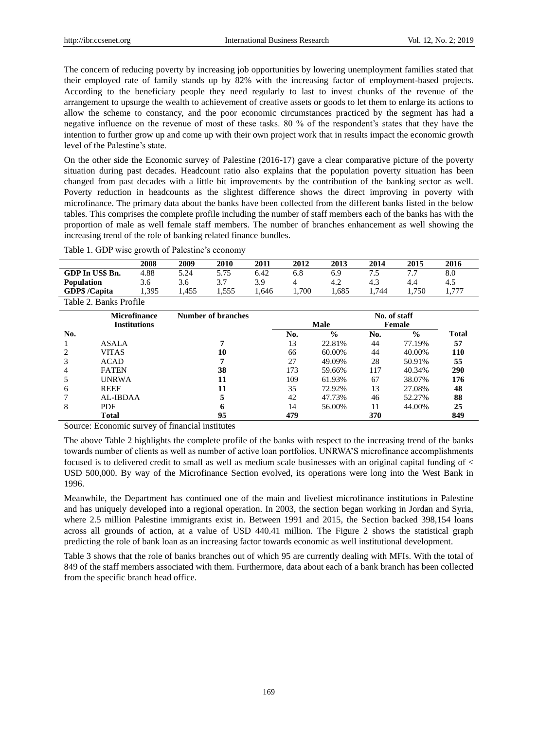The concern of reducing poverty by increasing job opportunities by lowering unemployment families stated that their employed rate of family stands up by 82% with the increasing factor of employment-based projects. According to the beneficiary people they need regularly to last to invest chunks of the revenue of the arrangement to upsurge the wealth to achievement of creative assets or goods to let them to enlarge its actions to allow the scheme to constancy, and the poor economic circumstances practiced by the segment has had a negative influence on the revenue of most of these tasks. 80 % of the respondent"s states that they have the intention to further grow up and come up with their own project work that in results impact the economic growth level of the Palestine's state.

On the other side the Economic survey of Palestine (2016-17) gave a clear comparative picture of the poverty situation during past decades. Headcount ratio also explains that the population poverty situation has been changed from past decades with a little bit improvements by the contribution of the banking sector as well. Poverty reduction in headcounts as the slightest difference shows the direct improving in poverty with microfinance. The primary data about the banks have been collected from the different banks listed in the below tables. This comprises the complete profile including the number of staff members each of the banks has with the proportion of male as well female staff members. The number of branches enhancement as well showing the increasing trend of the role of banking related finance bundles.

Table 1. GDP wise growth of Palestine's economy

|                        | 2008 | 2009 | 2010 | 2011 | 2012 | 2013 | 2014 | 2015 | 2016 |
|------------------------|------|------|------|------|------|------|------|------|------|
| GDP In US\$ Bn.        | 4.88 | 5.24 | 5.75 | 6.42 | 6.8  | 6.9  | כ./  |      | 8.0  |
| <b>Population</b>      | 3.6  | 3.6  |      | 3.9  |      | 4.2  | 4.3  | 4.4  | 4.5  |
| GDP\$/Capita           | .395 | .455 | .555 | .646 | .700 | .685 | .744 | .750 | ワワワ  |
| Table 2. Banks Profile |      |      |      |      |      |      |      |      |      |

|     | <b>Microfinance</b> | Number of branches | No. of staff |               |     |               |              |  |  |
|-----|---------------------|--------------------|--------------|---------------|-----|---------------|--------------|--|--|
|     | <b>Institutions</b> |                    |              | <b>Male</b>   |     | Female        |              |  |  |
| No. |                     |                    | No.          | $\frac{0}{0}$ | No. | $\frac{0}{0}$ | <b>Total</b> |  |  |
|     | <b>ASALA</b>        |                    | 13           | 22.81%        | 44  | 77.19%        | 57           |  |  |
|     | <b>VITAS</b>        | 10                 | 66           | 60.00%        | 44  | 40.00%        | 110          |  |  |
|     | <b>ACAD</b>         |                    | 27           | 49.09%        | 28  | 50.91%        | 55           |  |  |
| 4   | <b>FATEN</b>        | 38                 | 173          | 59.66%        | 117 | 40.34%        | 290          |  |  |
|     | <b>UNRWA</b>        | 11                 | 109          | 61.93%        | 67  | 38.07%        | 176          |  |  |
| 6   | <b>REEF</b>         | 11                 | 35           | 72.92%        | 13  | 27.08%        | 48           |  |  |
|     | AL-IBDAA            |                    | 42           | 47.73%        | 46  | 52.27%        | 88           |  |  |
| 8   | <b>PDF</b>          |                    | 14           | 56.00%        | 11  | 44.00%        | 25           |  |  |
|     | <b>Total</b>        | 95                 | 479          |               | 370 |               | 849          |  |  |

Source: Economic survey of financial institutes

The above Table 2 highlights the complete profile of the banks with respect to the increasing trend of the banks towards number of clients as well as number of active loan portfolios. UNRWA"S microfinance accomplishments focused is to delivered credit to small as well as medium scale businesses with an original capital funding of < USD 500,000. By way of the Microfinance Section evolved, its operations were long into the West Bank in 1996.

Meanwhile, the Department has continued one of the main and liveliest microfinance institutions in Palestine and has uniquely developed into a regional operation. In 2003, the section began working in Jordan and Syria, where 2.5 million Palestine immigrants exist in. Between 1991 and 2015, the Section backed 398,154 loans across all grounds of action, at a value of USD 440.41 million. The Figure 2 shows the statistical graph predicting the role of bank loan as an increasing factor towards economic as well institutional development.

Table 3 shows that the role of banks branches out of which 95 are currently dealing with MFIs. With the total of 849 of the staff members associated with them. Furthermore, data about each of a bank branch has been collected from the specific branch head office.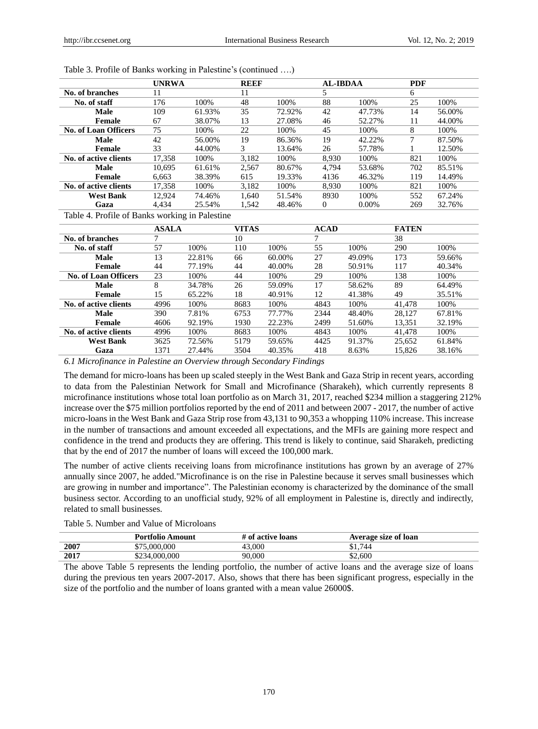|                             | <b>UNRWA</b> |        | <b>REEF</b> |        | <b>AL-IBDAA</b> |          | <b>PDF</b> |        |
|-----------------------------|--------------|--------|-------------|--------|-----------------|----------|------------|--------|
| No. of branches             | 11           |        | 11          |        |                 |          | 6          |        |
| No. of staff                | 176          | 100%   | 48          | 100%   | 88              | 100%     | 25         | 100%   |
| <b>Male</b>                 | 109          | 61.93% | 35          | 72.92% | 42              | 47.73%   | 14         | 56.00% |
| Female                      | 67           | 38.07% | 13          | 27.08% | 46              | 52.27%   | 11         | 44.00% |
| <b>No. of Loan Officers</b> | 75           | 100%   | 22          | 100%   | 45              | 100\%    | 8          | 100%   |
| <b>Male</b>                 | 42           | 56.00% | 19          | 86.36% | 19              | 42.22%   | ⇁          | 87.50% |
| Female                      | 33           | 44.00% | 3           | 13.64% | 26              | 57.78%   |            | 12.50% |
| No. of active clients       | 17.358       | 100\%  | 3.182       | 100\%  | 8.930           | 100\%    | 821        | 100\%  |
| Male                        | 10.695       | 61.61% | 2.567       | 80.67% | 4.794           | 53.68%   | 702        | 85.51% |
| Female                      | 6.663        | 38.39% | 615         | 19.33% | 4136            | 46.32%   | 119        | 14.49% |
| No. of active clients       | 17.358       | 100%   | 3.182       | 100\%  | 8.930           | 100%     | 821        | 100\%  |
| <b>West Bank</b>            | 12.924       | 74.46% | 1.640       | 51.54% | 8930            | 100\%    | 552        | 67.24% |
| Gaza                        | 4.434        | 25.54% | 1.542       | 48.46% | 0               | $0.00\%$ | 269        | 32.76% |

Table 3. Profile of Banks working in Palestine's (continued ....)

Table 4. Profile of Banks working in Palestine

|                             | <b>ASALA</b> |        | <b>VITAS</b> |        | <b>ACAD</b> |        | <b>FATEN</b> |        |
|-----------------------------|--------------|--------|--------------|--------|-------------|--------|--------------|--------|
| No. of branches             |              |        | 10           |        |             |        | 38           |        |
| No. of staff                | 57           | 100%   | 110          | 100%   | 55          | 100%   | 290          | 100%   |
| <b>Male</b>                 | 13           | 22.81% | 66           | 60.00% | 27          | 49.09% | 173          | 59.66% |
| Female                      | 44           | 77.19% | 44           | 40.00% | 28          | 50.91% | 117          | 40.34% |
| <b>No. of Loan Officers</b> | 23           | 100%   | 44           | 100%   | 29          | 100%   | 138          | 100%   |
| Male                        | 8            | 34.78% | 26           | 59.09% | 17          | 58.62% | 89           | 64.49% |
| Female                      | 15           | 65.22% | 18           | 40.91% | 12          | 41.38% | 49           | 35.51% |
| No. of active clients       | 4996         | 100%   | 8683         | 100%   | 4843        | 100%   | 41,478       | 100%   |
| Male                        | 390          | 7.81%  | 6753         | 77.77% | 2344        | 48.40% | 28.127       | 67.81% |
| Female                      | 4606         | 92.19% | 1930         | 22.23% | 2499        | 51.60% | 13,351       | 32.19% |
| No. of active clients       | 4996         | 100%   | 8683         | 100\%  | 4843        | 100%   | 41.478       | 100%   |
| <b>West Bank</b>            | 3625         | 72.56% | 5179         | 59.65% | 4425        | 91.37% | 25,652       | 61.84% |
| Gaza                        | 1371         | 27.44% | 3504         | 40.35% | 418         | 8.63%  | 15.826       | 38.16% |

*6.1 Microfinance in Palestine an Overview through Secondary Findings*

The demand for micro-loans has been up scaled steeply in the West Bank and Gaza Strip in recent years, according to data from the Palestinian Network for Small and Microfinance (Sharakeh), which currently represents 8 microfinance institutions whose total loan portfolio as on March 31, 2017, reached \$234 million a staggering 212% increase over the \$75 million portfolios reported by the end of 2011 and between 2007 - 2017, the number of active micro-loans in the West Bank and Gaza Strip rose from 43,131 to 90,353 a whopping 110% increase. This increase in the number of transactions and amount exceeded all expectations, and the MFIs are gaining more respect and confidence in the trend and products they are offering. This trend is likely to continue, said Sharakeh, predicting that by the end of 2017 the number of loans will exceed the 100,000 mark.

The number of active clients receiving loans from microfinance institutions has grown by an average of 27% annually since 2007, he added."Microfinance is on the rise in Palestine because it serves small businesses which are growing in number and importance". The Palestinian economy is characterized by the dominance of the small business sector. According to an unofficial study, 92% of all employment in Palestine is, directly and indirectly, related to small businesses.

| Table 5. Number and Value of Microloans |  |
|-----------------------------------------|--|
|-----------------------------------------|--|

|      | <b>Portfolio Amount</b> | # of active loans | Average size of loan |
|------|-------------------------|-------------------|----------------------|
| 2007 | \$75,000,000            | 3.000             | \$1.744              |
| 2017 | \$234,000,000           | 90.000            | \$2.600              |

The above Table 5 represents the lending portfolio, the number of active loans and the average size of loans during the previous ten years 2007-2017. Also, shows that there has been significant progress, especially in the size of the portfolio and the number of loans granted with a mean value 26000\$.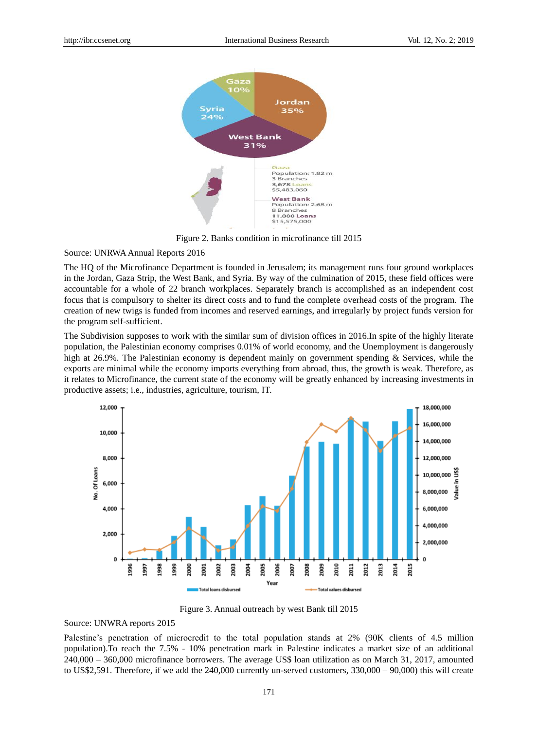

Figure 2. Banks condition in microfinance till 2015

#### Source: UNRWA Annual Reports 2016

The HQ of the Microfinance Department is founded in Jerusalem; its management runs four ground workplaces in the Jordan, Gaza Strip, the West Bank, and Syria. By way of the culmination of 2015, these field offices were accountable for a whole of 22 branch workplaces. Separately branch is accomplished as an independent cost focus that is compulsory to shelter its direct costs and to fund the complete overhead costs of the program. The creation of new twigs is funded from incomes and reserved earnings, and irregularly by project funds version for the program self-sufficient.

The Subdivision supposes to work with the similar sum of division offices in 2016.In spite of the highly literate population, the Palestinian economy comprises 0.01% of world economy, and the Unemployment is dangerously high at 26.9%. The Palestinian economy is dependent mainly on government spending & Services, while the exports are minimal while the economy imports everything from abroad, thus, the growth is weak. Therefore, as it relates to Microfinance, the current state of the economy will be greatly enhanced by increasing investments in productive assets; i.e., industries, agriculture, tourism, IT.



Figure 3. Annual outreach by west Bank till 2015

#### Source: UNWRA reports 2015

Palestine's penetration of microcredit to the total population stands at 2% (90K clients of 4.5 million population).To reach the 7.5% - 10% penetration mark in Palestine indicates a market size of an additional 240,000 – 360,000 microfinance borrowers. The average US\$ loan utilization as on March 31, 2017, amounted to US\$2,591. Therefore, if we add the 240,000 currently un-served customers, 330,000 – 90,000) this will create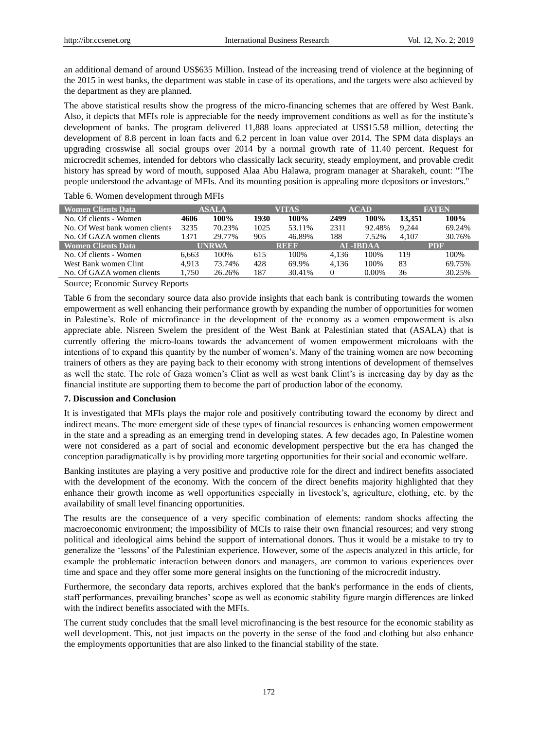an additional demand of around US\$635 Million. Instead of the increasing trend of violence at the beginning of the 2015 in west banks, the department was stable in case of its operations, and the targets were also achieved by the department as they are planned.

The above statistical results show the progress of the micro-financing schemes that are offered by West Bank. Also, it depicts that MFIs role is appreciable for the needy improvement conditions as well as for the institute"s development of banks. The program delivered 11,888 loans appreciated at US\$15.58 million, detecting the development of 8.8 percent in loan facts and 6.2 percent in loan value over 2014. The SPM data displays an upgrading crosswise all social groups over 2014 by a normal growth rate of 11.40 percent. Request for microcredit schemes, intended for debtors who classically lack security, steady employment, and provable credit history has spread by word of mouth, supposed Alaa Abu Halawa, program manager at Sharakeh, count: "The people understood the advantage of MFIs. And its mounting position is appealing more depositors or investors."

Table 6. Women development through MFIs

| <b>Women Clients Data</b>      |       | ASALA  |      | VITAS       |       | <b>ACAD</b>     |        | <b>FATEN</b> |
|--------------------------------|-------|--------|------|-------------|-------|-----------------|--------|--------------|
| No. Of clients - Women         | 4606  | 100%   | 1930 | 100%        | 2499  | 100%            | 13.351 | 100%         |
| No. Of West bank women clients | 3235  | 70.23% | 1025 | 53.11%      | 2311  | 92.48%          | 9.244  | 69.24%       |
| No. Of GAZA women clients      | 1371  | 29.77% | 905  | 46.89%      | 188   | 7.52%           | 4.107  | 30.76%       |
| <b>Women Clients Data</b>      |       | UNRWA  |      | <b>REEF</b> |       | <b>AL-IBDAA</b> |        | <b>PDF</b>   |
| No. Of clients - Women         | 6.663 | 100%   | 615  | 100%        | 4.136 | 100%            | 119    | 100\%        |
| West Bank women Clint          | 4.913 | 73.74% | 428  | 69.9%       | 4.136 | 100\%           | 83     | 69.75%       |
| No. Of GAZA women clients      | 1.750 | 26.26% | 187  | 30.41%      | 0     | $0.00\%$        | 36     | 30.25%       |

Source; Economic Survey Reports

Table 6 from the secondary source data also provide insights that each bank is contributing towards the women empowerment as well enhancing their performance growth by expanding the number of opportunities for women in Palestine"s. Role of microfinance in the development of the economy as a women empowerment is also appreciate able. Nisreen Swelem the president of the West Bank at Palestinian stated that (ASALA) that is currently offering the micro-loans towards the advancement of women empowerment microloans with the intentions of to expand this quantity by the number of women"s. Many of the training women are now becoming trainers of others as they are paying back to their economy with strong intentions of development of themselves as well the state. The role of Gaza women"s Clint as well as west bank Clint"s is increasing day by day as the financial institute are supporting them to become the part of production labor of the economy.

## **7. Discussion and Conclusion**

It is investigated that MFIs plays the major role and positively contributing toward the economy by direct and indirect means. The more emergent side of these types of financial resources is enhancing women empowerment in the state and a spreading as an emerging trend in developing states. A few decades ago, In Palestine women were not considered as a part of social and economic development perspective but the era has changed the conception paradigmatically is by providing more targeting opportunities for their social and economic welfare.

Banking institutes are playing a very positive and productive role for the direct and indirect benefits associated with the development of the economy. With the concern of the direct benefits majority highlighted that they enhance their growth income as well opportunities especially in livestock"s, agriculture, clothing, etc. by the availability of small level financing opportunities.

The results are the consequence of a very specific combination of elements: random shocks affecting the macroeconomic environment; the impossibility of MCIs to raise their own financial resources; and very strong political and ideological aims behind the support of international donors. Thus it would be a mistake to try to generalize the "lessons" of the Palestinian experience. However, some of the aspects analyzed in this article, for example the problematic interaction between donors and managers, are common to various experiences over time and space and they offer some more general insights on the functioning of the microcredit industry.

Furthermore, the secondary data reports, archives explored that the bank's performance in the ends of clients, staff performances, prevailing branches" scope as well as economic stability figure margin differences are linked with the indirect benefits associated with the MFIs.

The current study concludes that the small level microfinancing is the best resource for the economic stability as well development. This, not just impacts on the poverty in the sense of the food and clothing but also enhance the employments opportunities that are also linked to the financial stability of the state.